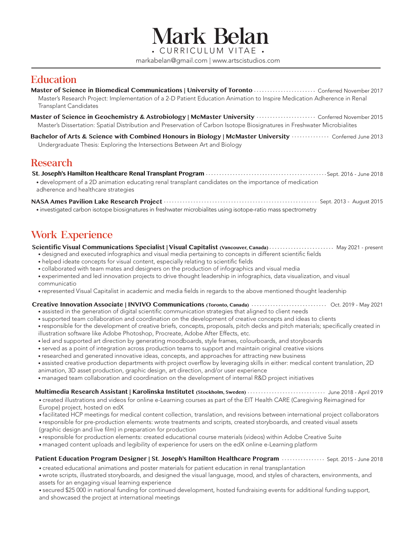Mark Belan markabelan@gmail.com | www.artscistudios.com

### **Education**

Master's Research Project: Implementation of a 2-D Patient Education Animation to Inspire Medication Adherence in Renal Transplant Candidates **Master of Science in Biomedical Communications | University of Toronto** Content Conferred November 2017

**Master of Science in Geochemistry & Astrobiology | McMaster University** ...................... Conferred November 2015 Master's Dissertation: Spatial Distribution and Preservation of Carbon Isotope Biosignatures in Freshwater Microbialites

**Bachelor of Arts & Science with Combined Honours in Biology | McMaster University**  $\cdots$ ......... Conferred June 2013 Undergraduate Thesis: Exploring the Intersections Between Art and Biology

### Research

**St. Joseph's Hamilton Healthcare Renal Transplant Program** Sept. 2016 - June 2018

• development of a 2D animation educating renal transplant candidates on the importance of medication adherence and healthcare strategies

• investigated carbon isotope biosignatures in freshwater microbialites using isotope-ratio mass spectrometry NASA Ames Pavilion Lake Research Project **Sept. 2014** Sept. 2013 - August 2015

# Work Experience

**Scientific Visual Communications Specialist | Visual Capitalist (Vancouver, Canada)** • • • • • • • • • • • • • • • • • May 2021 - present

- designed and executed infographics and visual media pertaining to concepts in different scientific fields
- helped ideate concepts for visual content, especially relating to scientific fields
- collaborated with team mates and designers on the production of infographics and visual media
- experimented and led innovation projects to drive thought leadership in infographics, data visualization, and visual communicatio
- represented Visual Capitalist in academic and media fields in regards to the above mentioned thought leadership

#### **Creative Innovation Associate | INVIVO Communications (Toronto, Canada)** .............................. Oct. 2019 - May 2021

- assisted in the generation of digital scientific communication strategies that aligned to client needs
- supported team collaboration and coordination on the development of creative concepts and ideas to clients
- responsible for the development of creative briefs, concepts, proposals, pitch decks and pitch materials; specifically created in illustration software like Adobe Photoshop, Procreate, Adobe After Effects, etc.
- led and supported art direction by generating moodboards, style frames, colourboards, and storyboards
- served as a point of integration across production teams to support and maintain original creative visions
- researched and generated innovative ideas, concepts, and approaches for attracting new business
- assisted creative production departments with project overflow by leveraging skills in either: medical content translation, 2D animation, 3D asset production, graphic design, art direction, and/or user experience
- managed team collaboration and coordination on the development of internal R&D project initiatives

#### June 2018 - April 2019 **Multimedia Research Assistant | Karolinska Institutet (Stockholm, Sweden)**

• created illustrations and videos for online e-Learning courses as part of the EIT Health CARE (Caregiving Reimagined for Europe) project, hosted on edX

• facilitated HCP meetings for medical content collection, translation, and revisions between international project collaborators

• responsible for pre-production elements: wrote treatments and scripts, created storyboards, and created visual assets (graphic design and live film) in preparation for production

- responsible for production elements: created educational course materials (videos) within Adobe Creative Suite
- managed content uploads and legibility of experience for users on the edX online e-Learning platform

#### Patient Education Program Designer | St. Joseph's Hamilton Healthcare Program **Mathelin Accept. 2015 - June 2018**

- created educational animations and poster materials for patient education in renal transplantation
- wrote scripts, illustrated storyboards, and designed the visual language, mood, and styles of characters, environments, and assets for an engaging visual learning experience
- secured \$25 000 in national funding for continued development, hosted fundraising events for additional funding support, and showcased the project at international meetings